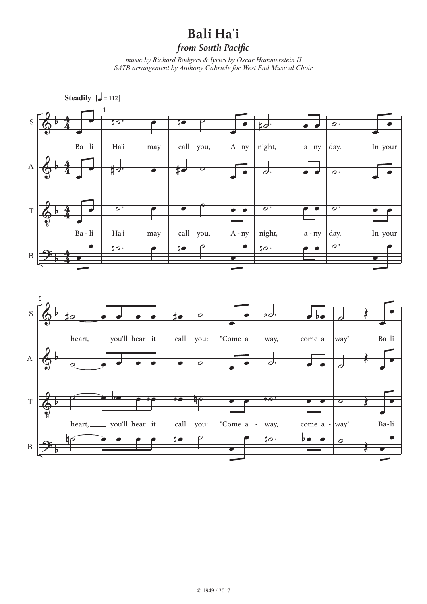## **Bali Ha'i**

*from South Pacific*

*music by Richard Rodgers & lyrics by Oscar Hammerstein II SATB arrangement by Anthony Gabriele for West End Musical Choir*



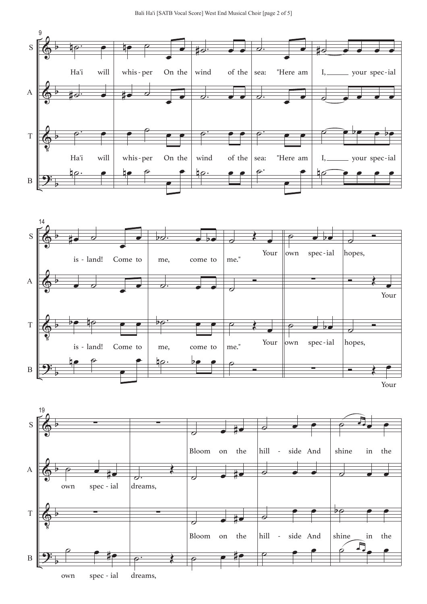



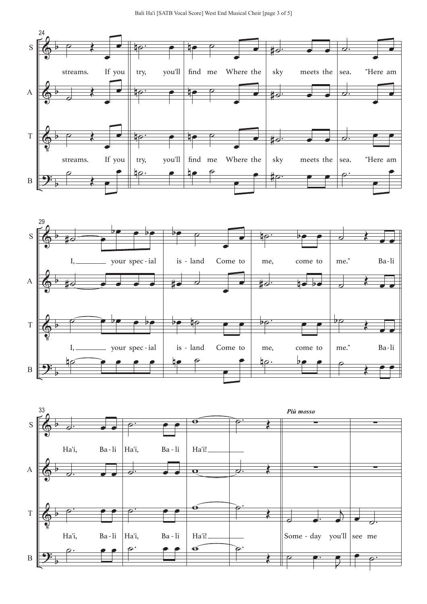



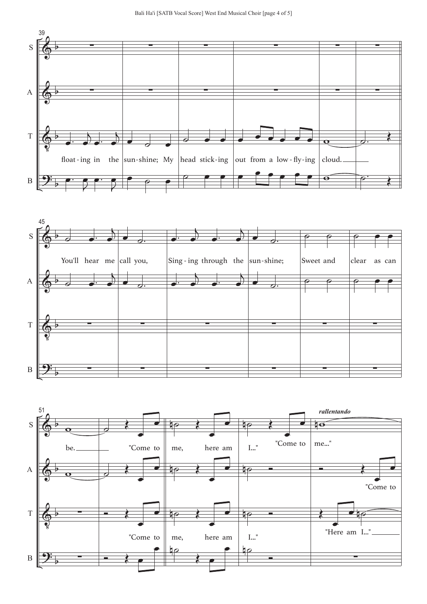